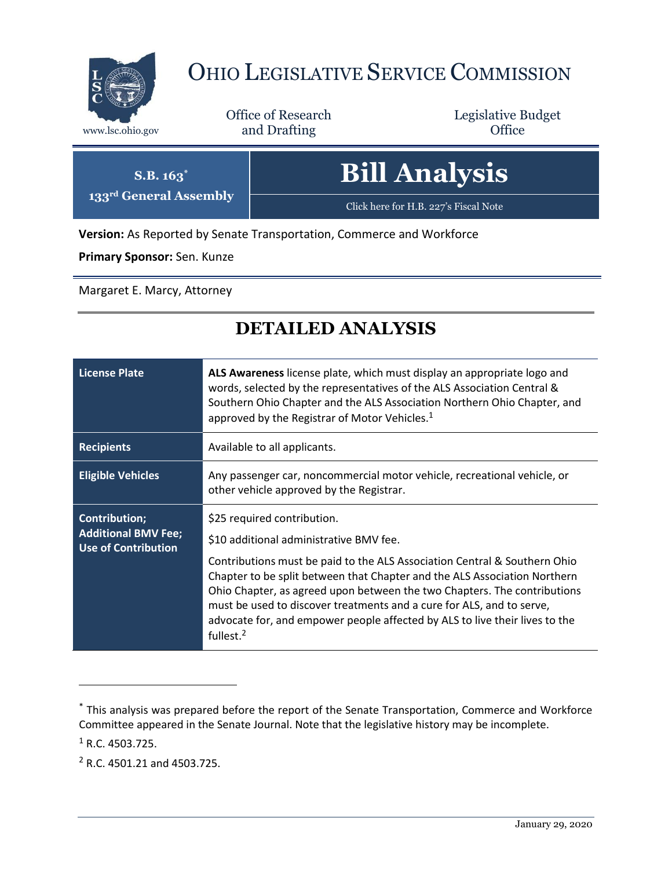

## OHIO LEGISLATIVE SERVICE COMMISSION

Office of Research www.lsc.ohio.gov **and Drafting Office** 

Legislative Budget

| $S.B. 163^*$<br>133rd General Assembly | <b>Bill Analysis</b>                  |
|----------------------------------------|---------------------------------------|
|                                        | Click here for H.B. 227's Fiscal Note |

**Version:** As Reported by Senate Transportation, Commerce and Workforce

**Primary Sponsor:** Sen. Kunze

Margaret E. Marcy, Attorney

## **DETAILED ANALYSIS**

| <b>License Plate</b>                                                             | ALS Awareness license plate, which must display an appropriate logo and<br>words, selected by the representatives of the ALS Association Central &<br>Southern Ohio Chapter and the ALS Association Northern Ohio Chapter, and<br>approved by the Registrar of Motor Vehicles. <sup>1</sup>                                                                                                                                                                                                   |
|----------------------------------------------------------------------------------|-----------------------------------------------------------------------------------------------------------------------------------------------------------------------------------------------------------------------------------------------------------------------------------------------------------------------------------------------------------------------------------------------------------------------------------------------------------------------------------------------|
| <b>Recipients</b>                                                                | Available to all applicants.                                                                                                                                                                                                                                                                                                                                                                                                                                                                  |
| <b>Eligible Vehicles</b>                                                         | Any passenger car, noncommercial motor vehicle, recreational vehicle, or<br>other vehicle approved by the Registrar.                                                                                                                                                                                                                                                                                                                                                                          |
| <b>Contribution;</b><br><b>Additional BMV Fee;</b><br><b>Use of Contribution</b> | \$25 required contribution.<br>\$10 additional administrative BMV fee.<br>Contributions must be paid to the ALS Association Central & Southern Ohio<br>Chapter to be split between that Chapter and the ALS Association Northern<br>Ohio Chapter, as agreed upon between the two Chapters. The contributions<br>must be used to discover treatments and a cure for ALS, and to serve,<br>advocate for, and empower people affected by ALS to live their lives to the<br>fullest. <sup>2</sup> |

 $1$  R.C. 4503.725.

 $\overline{a}$ 

<sup>2</sup> R.C. 4501.21 and 4503.725.

<sup>\*</sup> This analysis was prepared before the report of the Senate Transportation, Commerce and Workforce Committee appeared in the Senate Journal. Note that the legislative history may be incomplete.